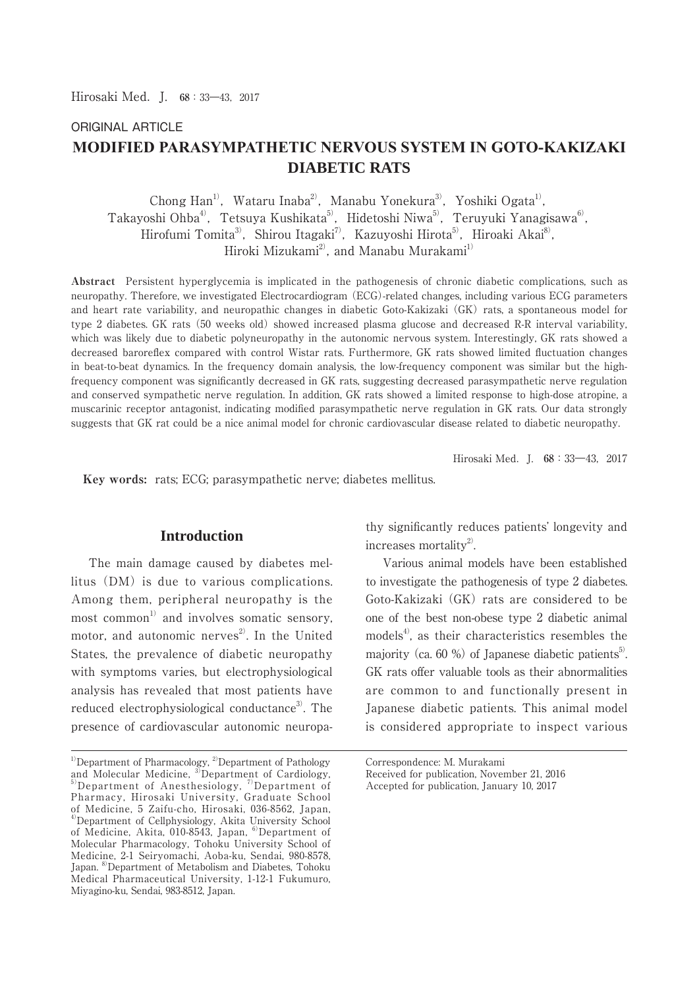# ORIGINAL ARTICLE **MODIFIED PARASYMPATHETIC NERVOUS SYSTEM IN GOTO-KAKIZAKI DIABETIC RATS**

Chong Han<sup>1)</sup>, Wataru Inaba<sup>2)</sup>, Manabu Yonekura<sup>3)</sup>, Yoshiki Ogata<sup>1)</sup>, Takayoshi Ohba<sup>4)</sup>, Tetsuya Kushikata<sup>5)</sup>, Hidetoshi Niwa<sup>5)</sup>, Teruyuki Yanagisawa<sup>6)</sup>, Hirofumi Tomita<sup>3)</sup>, Shirou Itagaki<sup>7)</sup>, Kazuyoshi Hirota<sup>5)</sup>, Hiroaki Akai<sup>8</sup>), Hiroki Mizukami<sup>2)</sup>, and Manabu Murakami<sup>1)</sup>

**Abstract** Persistent hyperglycemia is implicated in the pathogenesis of chronic diabetic complications, such as neuropathy. Therefore, we investigated Electrocardiogram (ECG)-related changes, including various ECG parameters and heart rate variability, and neuropathic changes in diabetic Goto-Kakizaki (GK) rats, a spontaneous model for type 2 diabetes. GK rats (50 weeks old) showed increased plasma glucose and decreased R-R interval variability, which was likely due to diabetic polyneuropathy in the autonomic nervous system. Interestingly, GK rats showed a decreased baroreflex compared with control Wistar rats. Furthermore, GK rats showed limited fluctuation changes in beat-to-beat dynamics. In the frequency domain analysis, the low-frequency component was similar but the highfrequency component was significantly decreased in GK rats, suggesting decreased parasympathetic nerve regulation and conserved sympathetic nerve regulation. In addition, GK rats showed a limited response to high-dose atropine, a muscarinic receptor antagonist, indicating modified parasympathetic nerve regulation in GK rats. Our data strongly suggests that GK rat could be a nice animal model for chronic cardiovascular disease related to diabetic neuropathy.

Hirosaki Med.J. **68**:33―43,2017

 **Key words:** rats; ECG; parasympathetic nerve; diabetes mellitus.

### **Introduction**

 The main damage caused by diabetes mellitus (DM) is due to various complications. Among them, peripheral neuropathy is the most common<sup>1)</sup> and involves somatic sensory, motor, and autonomic nerves<sup>2)</sup>. In the United States, the prevalence of diabetic neuropathy with symptoms varies, but electrophysiological analysis has revealed that most patients have reduced electrophysiological conductance<sup>3)</sup>. The presence of cardiovascular autonomic neuropathy significantly reduces patients' longevity and increases mortality $^{2}$ .

 Various animal models have been established to investigate the pathogenesis of type 2 diabetes. Goto-Kakizaki (GK) rats are considered to be one of the best non-obese type 2 diabetic animal  $models<sup>4</sup>$ , as their characteristics resembles the majority (ca. 60 %) of Japanese diabetic patients<sup>5</sup>. GK rats offer valuable tools as their abnormalities are common to and functionally present in Japanese diabetic patients. This animal model is considered appropriate to inspect various

Correspondence: M. Murakami

 $1)$ Department of Pharmacology,  $2)$ Department of Pathology and Molecular Medicine, 3)Department of Cardiology, 5) Department of Anesthesiology, <sup>7)</sup> Department of Pharmacy, Hirosaki University, Graduate School of Medicine, 5 Zaifu-cho, Hirosaki, 036-8562, Japan, 4)Department of Cellphysiology, Akita University School of Medicine, Akita, 010-8543, Japan, <sup>6)</sup>Department of Molecular Pharmacology, Tohoku University School of Medicine, 2-1 Seiryomachi, Aoba-ku, Sendai, 980-8578, Japan. <sup>8)</sup>Department of Metabolism and Diabetes, Tohoku Medical Pharmaceutical University, 1-12-1 Fukumuro, Miyagino-ku, Sendai, 983-8512, Japan.

Received for publication, November 21, 2016 Accepted for publication, January 10, 2017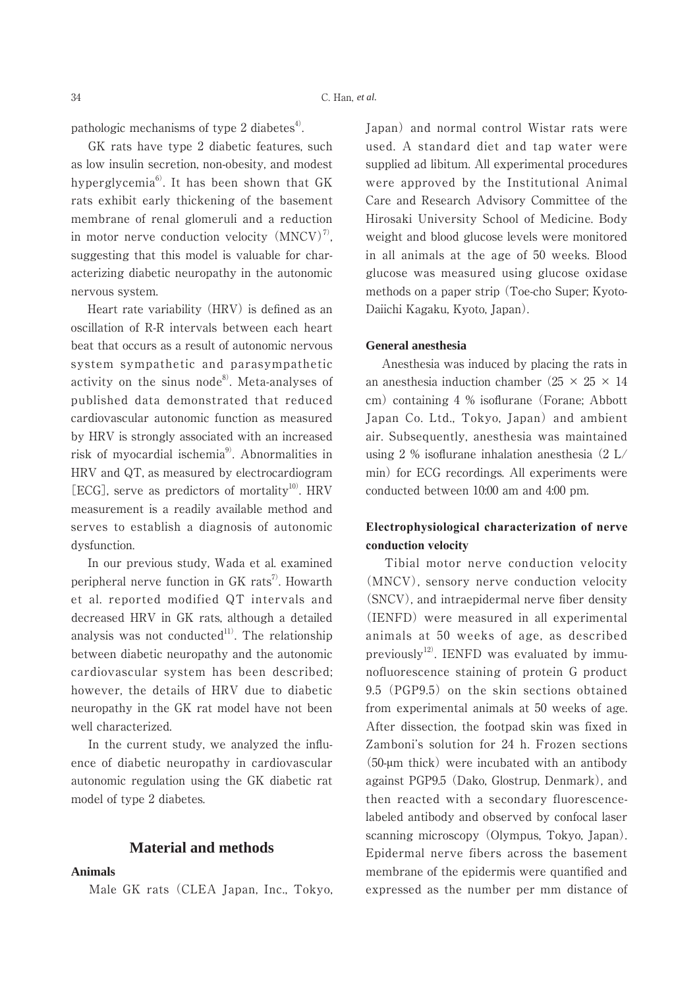pathologic mechanisms of type 2 diabetes $4$ .

 GK rats have type 2 diabetic features, such as low insulin secretion, non-obesity, and modest hyperglycemia<sup>6)</sup>. It has been shown that  $GK$ rats exhibit early thickening of the basement membrane of renal glomeruli and a reduction in motor nerve conduction velocity  $(MNCV)^7$ , suggesting that this model is valuable for characterizing diabetic neuropathy in the autonomic nervous system.

 Heart rate variability (HRV) is defined as an oscillation of R-R intervals between each heart beat that occurs as a result of autonomic nervous system sympathetic and parasympathetic activity on the sinus node $^{8}$ . Meta-analyses of published data demonstrated that reduced cardiovascular autonomic function as measured by HRV is strongly associated with an increased risk of myocardial ischemia<sup>9</sup>. Abnormalities in HRV and QT, as measured by electrocardiogram [ECG], serve as predictors of mortality<sup>10)</sup>. HRV measurement is a readily available method and serves to establish a diagnosis of autonomic dysfunction.

 In our previous study, Wada et al. examined peripheral nerve function in  $GK$  rats<sup>7</sup>. Howarth et al. reported modified QT intervals and decreased HRV in GK rats, although a detailed analysis was not conducted $111$ . The relationship between diabetic neuropathy and the autonomic cardiovascular system has been described; however, the details of HRV due to diabetic neuropathy in the GK rat model have not been well characterized.

 In the current study, we analyzed the influence of diabetic neuropathy in cardiovascular autonomic regulation using the GK diabetic rat model of type 2 diabetes.

#### **Material and methods**

#### **Animals**

Male GK rats (CLEA Japan, Inc., Tokyo,

Japan) and normal control Wistar rats were used. A standard diet and tap water were supplied ad libitum. All experimental procedures were approved by the Institutional Animal Care and Research Advisory Committee of the Hirosaki University School of Medicine. Body weight and blood glucose levels were monitored in all animals at the age of 50 weeks. Blood glucose was measured using glucose oxidase methods on a paper strip (Toe-cho Super; Kyoto-Daiichi Kagaku, Kyoto, Japan).

#### **General anesthesia**

 Anesthesia was induced by placing the rats in an anesthesia induction chamber  $(25 \times 25 \times 14)$ cm) containing 4 % isoflurane (Forane; Abbott Japan Co. Ltd., Tokyo, Japan) and ambient air. Subsequently, anesthesia was maintained using 2 % isoflurane inhalation anesthesia (2 L/ min) for ECG recordings. All experiments were conducted between 10:00 am and 4:00 pm.

## **Electrophysiological characterization of nerve** conduction velocity

 Tibial motor nerve conduction velocity (MNCV), sensory nerve conduction velocity (SNCV), and intraepidermal nerve fiber density (IENFD) were measured in all experimental animals at 50 weeks of age, as described previously<sup>12)</sup>. IENFD was evaluated by immunofluorescence staining of protein G product 9.5 (PGP9.5) on the skin sections obtained from experimental animals at 50 weeks of age. After dissection, the footpad skin was fixed in Zamboni's solution for 24 h. Frozen sections (50-ȝm thick) were incubated with an antibody against PGP9.5 (Dako, Glostrup, Denmark), and then reacted with a secondary fluorescencelabeled antibody and observed by confocal laser scanning microscopy (Olympus, Tokyo, Japan). Epidermal nerve fibers across the basement membrane of the epidermis were quantified and expressed as the number per mm distance of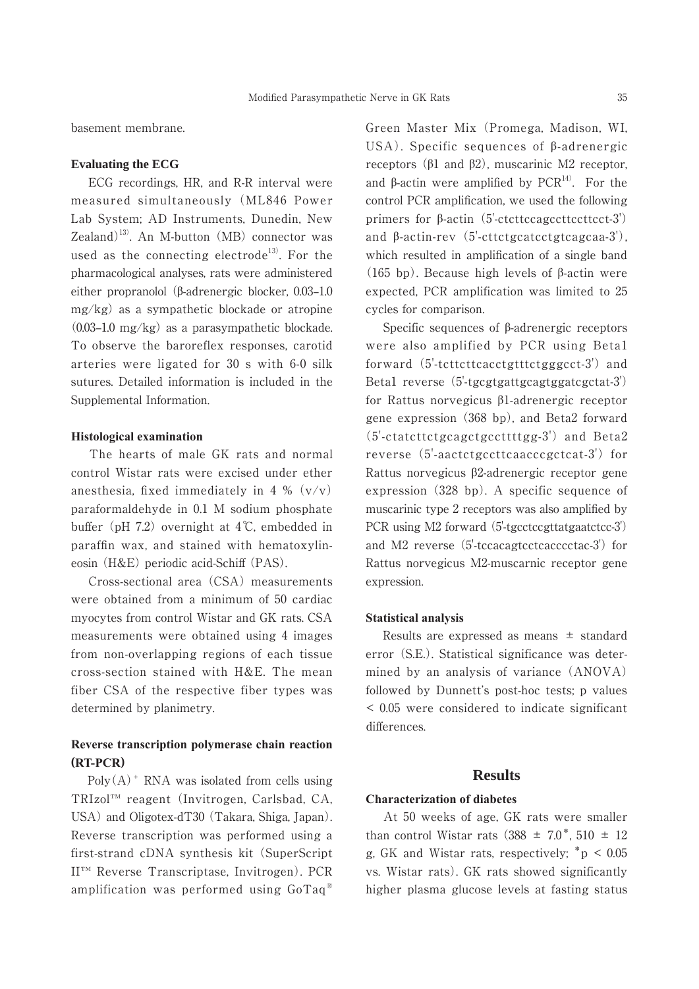basement membrane.

#### **Evaluating the ECG**

 ECG recordings, HR, and R-R interval were measured simultaneously (ML846 Power Lab System; AD Instruments, Dunedin, New Zealand)<sup>13)</sup>. An M-button (MB) connector was used as the connecting electrode<sup>13)</sup>. For the pharmacological analyses, rats were administered either propranolol ( $\beta$ -adrenergic blocker, 0.03–1.0 mg/kg) as a sympathetic blockade or atropine  $(0.03-1.0 \text{ mg/kg})$  as a parasympathetic blockade. To observe the baroreflex responses, carotid arteries were ligated for 30 s with 6-0 silk sutures. Detailed information is included in the Supplemental Information.

#### **Histological examination**

 The hearts of male GK rats and normal control Wistar rats were excised under ether anesthesia, fixed immediately in 4 %  $(v/v)$ paraformaldehyde in 0.1 M sodium phosphate buffer (pH 7.2) overnight at  $4^{\circ}$ C, embedded in paraffin wax, and stained with hematoxylineosin (H&E) periodic acid-Schiff (PAS).

 Cross-sectional area (CSA) measurements were obtained from a minimum of 50 cardiac myocytes from control Wistar and GK rats. CSA measurements were obtained using 4 images from non-overlapping regions of each tissue cross-section stained with H&E. The mean fiber CSA of the respective fiber types was determined by planimetry.

## **Reverse transcription polymerase chain reaction (573&5)**

 $Poly(A)^+$  RNA was isolated from cells using TRIzol™ reagent (Invitrogen, Carlsbad, CA, USA) and Oligotex-dT30 (Takara, Shiga, Japan). Reverse transcription was performed using a first-strand cDNA synthesis kit (SuperScript II™ Reverse Transcriptase, Invitrogen). PCR amplification was performed using GoTaq® Green Master Mix (Promega, Madison, WI,  $USA$ ). Specific sequences of  $\beta$ -adrenergic receptors  $(\beta_1 \text{ and } \beta_2)$ , muscarinic M2 receptor, and  $\beta$ -actin were amplified by PCR<sup>14)</sup>. For the control PCR amplification, we used the following primers for  $\beta$ -actin (5'-ctcttccagccttccttcct-3') and  $\beta$ -actin-rev  $(5')$ -cttctgcatcctgtcagcaa-3'), which resulted in amplification of a single band (165 bp). Because high levels of  $\beta$ -actin were expected, PCR amplification was limited to 25 cycles for comparison.

Specific sequences of  $\beta$ -adrenergic receptors were also amplified by PCR using Beta1 forward (5'-tcttcttcacctgtttctgggcct-3') and Beta1 reverse (5'-tgcgtgattgcagtggatcgctat-3') for Rattus norvegicus  $\beta$ 1-adrenergic receptor gene expression (368 bp), and Beta2 forward (5'-ctatcttctgcagctgccttttgg-3') and Beta2 reverse (5'-aactctgccttcaacccgctcat-3') for Rattus norvegicus β2-adrenergic receptor gene expression (328 bp). A specific sequence of muscarinic type 2 receptors was also amplified by PCR using M2 forward (5'-tgcctccgttatgaatctcc-3') and M2 reverse (5'-tccacagtcctcacccctac-3') for Rattus norvegicus M2-muscarnic receptor gene expression.

#### **Statistical analysis**

Results are expressed as means  $\pm$  standard error (S.E.). Statistical significance was determined by an analysis of variance (ANOVA) followed by Dunnett's post-hoc tests; p values < 0.05 were considered to indicate significant differences.

#### **Results**

#### **Characterization of diabetes**

 At 50 weeks of age, GK rats were smaller than control Wistar rats (388  $\pm$  7.0<sup>\*</sup>, 510  $\pm$  12 g, GK and Wistar rats, respectively;  $^*p < 0.05$ vs. Wistar rats). GK rats showed significantly higher plasma glucose levels at fasting status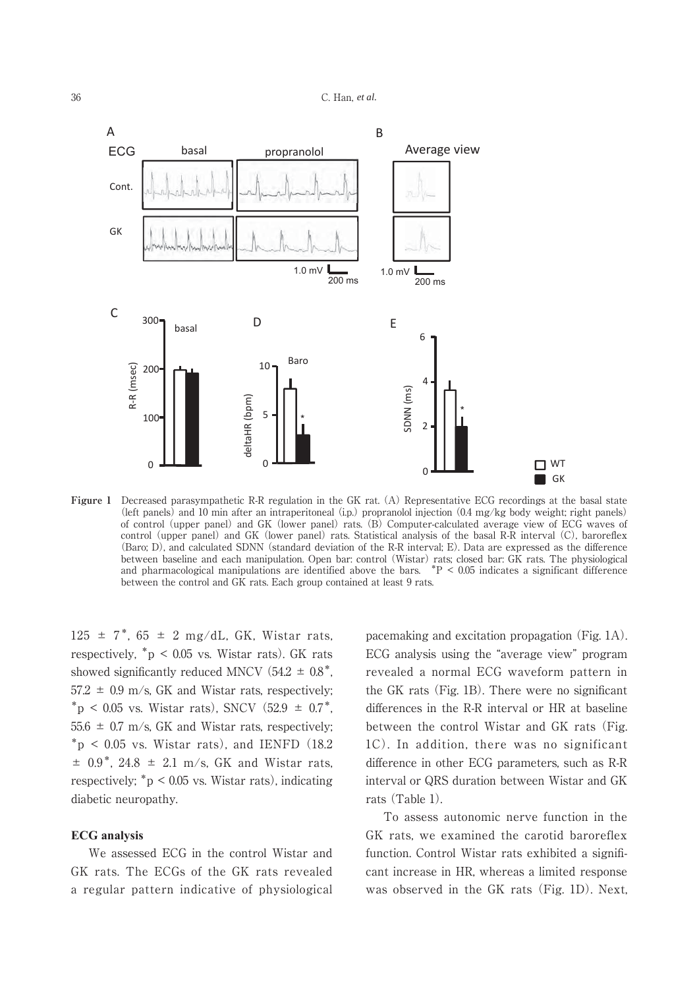

**Figure 1** Decreased parasympathetic R-R regulation in the GK rat. (A) Representative ECG recordings at the basal state (left panels) and 10 min after an intraperitoneal (i.p.) propranolol injection (0.4 mg/kg body weight; right panels) of control (upper panel) and GK (lower panel) rats. (B) Computer-calculated average view of ECG waves of control (upper panel) and GK (lower panel) rats. Statistical analysis of the basal R-R interval (C), baroreflex (Baro; D), and calculated SDNN (standard deviation of the R-R interval; E). Data are expressed as the difference between baseline and each manipulation. Open bar: control (Wistar) rats; closed bar: GK rats. The physiological and pharmacological manipulations are identified above the bars.  $*P < 0.05$  indicates a significant difference between the control and GK rats. Each group contained at least 9 rats.

 $125 \pm 7$ \*, 65  $\pm$  2 mg/dL, GK, Wistar rats, respectively,  $p > 0.05$  vs. Wistar rats). GK rats showed significantly reduced MNCV  $(54.2 \pm 0.8^*)$ ,  $57.2 \pm 0.9$  m/s, GK and Wistar rats, respectively;  $*_{p}$  < 0.05 vs. Wistar rats), SNCV (52.9  $\pm$  0.7<sup>\*</sup>,  $55.6 \pm 0.7$  m/s, GK and Wistar rats, respectively;  $p^*$  < 0.05 vs. Wistar rats), and IENFD (18.2)  $\pm$  0.9<sup>\*</sup>, 24.8  $\pm$  2.1 m/s, GK and Wistar rats, respectively;  $\degree$  p < 0.05 vs. Wistar rats), indicating diabetic neuropathy.

#### **ECG** analysis

 We assessed ECG in the control Wistar and GK rats. The ECGs of the GK rats revealed a regular pattern indicative of physiological pacemaking and excitation propagation (Fig. 1A). ECG analysis using the "average view" program revealed a normal ECG waveform pattern in the GK rats (Fig. 1B). There were no significant differences in the R-R interval or HR at baseline between the control Wistar and GK rats (Fig. 1C). In addition, there was no significant difference in other ECG parameters, such as R-R interval or QRS duration between Wistar and GK rats (Table 1).

 To assess autonomic nerve function in the GK rats, we examined the carotid baroreflex function. Control Wistar rats exhibited a significant increase in HR, whereas a limited response was observed in the GK rats (Fig. 1D). Next,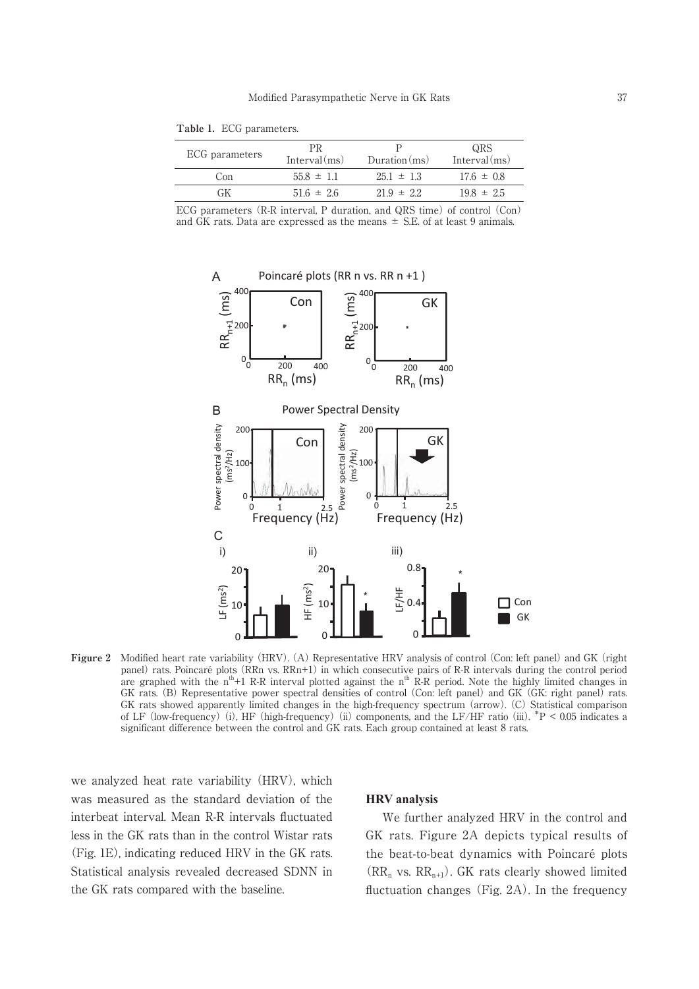| <b>T ADIC 1.</b> EVG parameters. |                 |          |
|----------------------------------|-----------------|----------|
| ECG parameters                   | $Intomial(m_0)$ | Durstion |

**Table 1.** ECG parameters.

| ECG parameters | PR<br>Interval(ms) | Duration(ms)   | QRS<br>Interval(ms) |
|----------------|--------------------|----------------|---------------------|
| Con            | $55.8 \pm 1.1$     | $25.1 \pm 1.3$ | $17.6 \pm 0.8$      |
| GК             | $516 \pm 26$       | $21.9 \pm 2.2$ | $19.8 \pm 2.5$      |
|                |                    |                |                     |

ECG parameters (R-R interval, P duration, and QRS time) of control (Con) and GK rats. Data are expressed as the means  $\pm$  S.E. of at least 9 animals.



**Figure 2** Modified heart rate variability (HRV). (A) Representative HRV analysis of control (Con: left panel) and GK (right panel) rats. Poincaré plots (RRn vs. RRn+1) in which consecutive pairs of R-R intervals during the control period are graphed with the  $n^{th}+1$  R-R interval plotted against the  $n^{th}$  R-R period. Note the highly limited changes in GK rats. (B) Representative power spectral densities of control (Con: left panel) and GK (GK: right panel) rats. GK rats showed apparently limited changes in the high-frequency spectrum (arrow). (C) Statistical comparison of LF (low-frequency) (i), HF (high-frequency) (ii) components, and the LF/HF ratio (iii).  $*P < 0.05$  indicates a significant difference between the control and GK rats. Each group contained at least 8 rats.

we analyzed heat rate variability (HRV), which was measured as the standard deviation of the interbeat interval. Mean R-R intervals fluctuated less in the GK rats than in the control Wistar rats (Fig. 1E), indicating reduced HRV in the GK rats. Statistical analysis revealed decreased SDNN in the GK rats compared with the baseline.

#### **HRV** analysis

 We further analyzed HRV in the control and GK rats. Figure 2A depicts typical results of the beat-to-beat dynamics with Poincaré plots  $(RR_n$  vs.  $RR_{n+1})$ . GK rats clearly showed limited fluctuation changes (Fig. 2A). In the frequency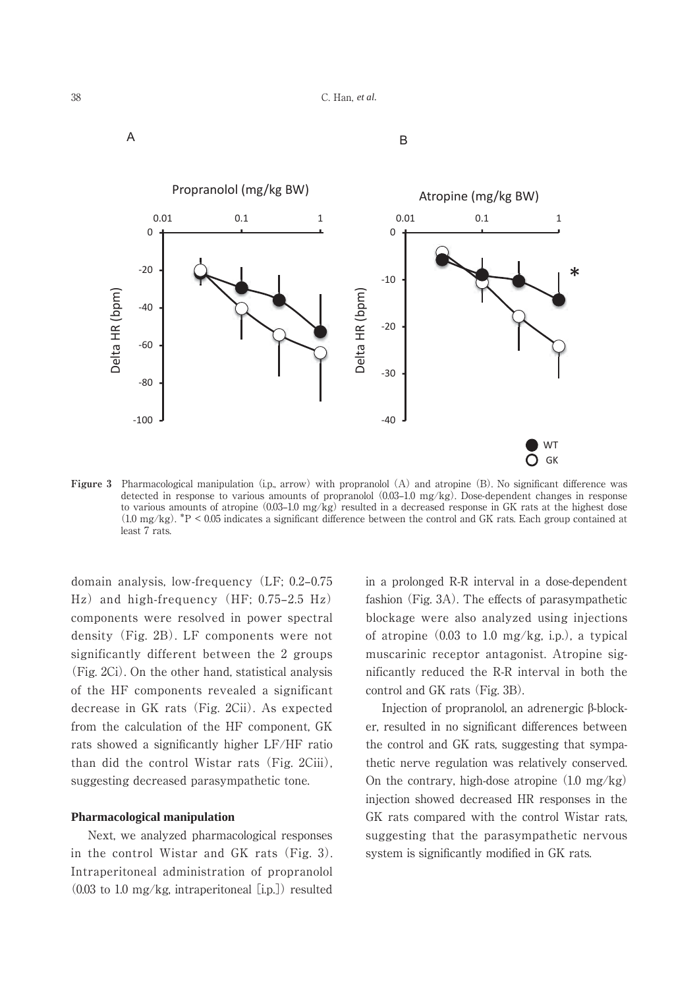



**Figure 3** Pharmacological manipulation (i.p., arrow) with propranolol (A) and atropine (B). No significant difference was detected in response to various amounts of propranolol  $(0.03-1.0 \text{ mg/kg})$ . Dose-dependent changes in response to various amounts of atropine  $(0.03-1.0 \text{ mg/kg})$  resulted in a decreased response in GK rats at the highest dose (1.0 mg/kg). \*P < 0.05 indicates a significant difference between the control and GK rats. Each group contained at least 7 rats.

domain analysis, low-frequency (LF; 0.2-0.75  $\text{Hz}$  and high-frequency (HF; 0.75–2.5 Hz) components were resolved in power spectral density (Fig. 2B). LF components were not significantly different between the 2 groups (Fig. 2Ci). On the other hand, statistical analysis of the HF components revealed a significant decrease in GK rats (Fig. 2Cii). As expected from the calculation of the HF component, GK rats showed a significantly higher LF/HF ratio than did the control Wistar rats (Fig. 2Ciii), suggesting decreased parasympathetic tone.

#### **Pharmacological manipulation**

 Next, we analyzed pharmacological responses in the control Wistar and GK rats (Fig. 3). Intraperitoneal administration of propranolol  $(0.03 \text{ to } 1.0 \text{ mg/kg}, \text{ intraperitoneal } [i.p.])$  resulted in a prolonged R-R interval in a dose-dependent fashion (Fig. 3A). The effects of parasympathetic blockage were also analyzed using injections of atropine  $(0.03 \text{ to } 1.0 \text{ mg/kg}, i.p.)$ , a typical muscarinic receptor antagonist. Atropine significantly reduced the R-R interval in both the control and GK rats (Fig. 3B).

Injection of propranolol, an adrenergic  $\beta$ -blocker, resulted in no significant differences between the control and GK rats, suggesting that sympathetic nerve regulation was relatively conserved. On the contrary, high-dose atropine  $(1.0 \text{ mg/kg})$ injection showed decreased HR responses in the GK rats compared with the control Wistar rats, suggesting that the parasympathetic nervous system is significantly modified in GK rats.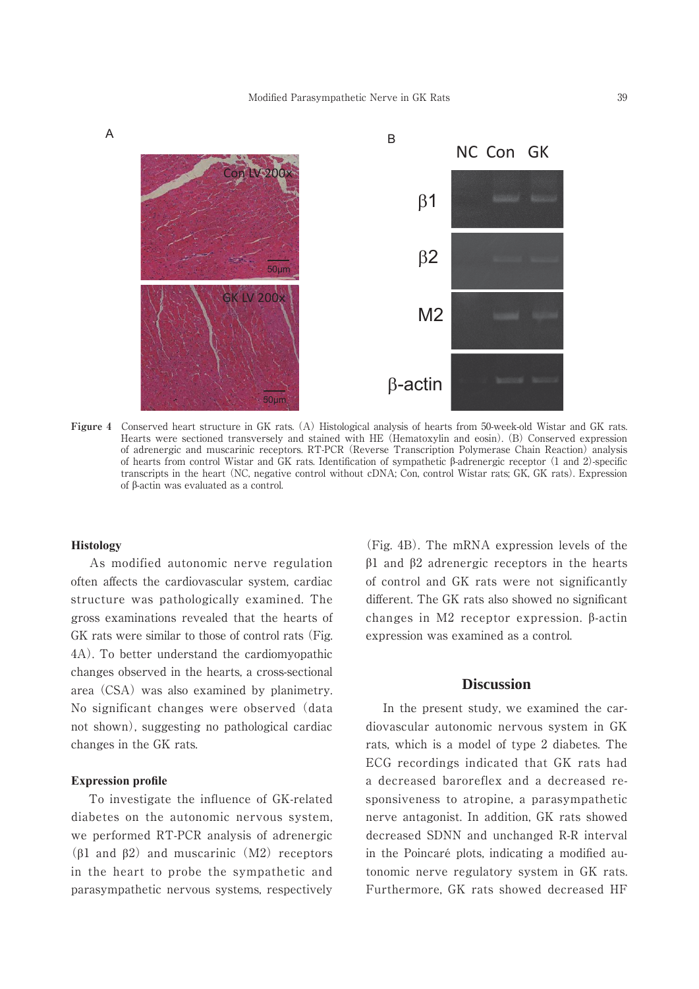

**Figure 4** Conserved heart structure in GK rats. (A) Histological analysis of hearts from 50-week-old Wistar and GK rats. Hearts were sectioned transversely and stained with HE (Hematoxylin and eosin). (B) Conserved expression of adrenergic and muscarinic receptors. RT-PCR (Reverse Transcription Polymerase Chain Reaction) analysis of hearts from control Wistar and GK rats. Identification of sympathetic  $\beta$ -adrenergic receptor (1 and 2)-specific transcripts in the heart (NC, negative control without cDNA; Con, control Wistar rats; GK, GK rats). Expression of  $\beta$ -actin was evaluated as a control.

#### $Histology$

 As modified autonomic nerve regulation often affects the cardiovascular system, cardiac structure was pathologically examined. The gross examinations revealed that the hearts of GK rats were similar to those of control rats (Fig. 4A). To better understand the cardiomyopathic changes observed in the hearts, a cross-sectional area (CSA) was also examined by planimetry. No significant changes were observed (data not shown), suggesting no pathological cardiac changes in the GK rats.

#### **Expression profile**

 To investigate the influence of GK-related diabetes on the autonomic nervous system, we performed RT-PCR analysis of adrenergic ( $\beta$ 1 and  $\beta$ 2) and muscarinic (M2) receptors in the heart to probe the sympathetic and parasympathetic nervous systems, respectively

(Fig. 4B). The mRNA expression levels of the  $\beta$ 1 and  $\beta$ 2 adrenergic receptors in the hearts of control and GK rats were not significantly different. The GK rats also showed no significant changes in  $M2$  receptor expression.  $\beta$ -actin expression was examined as a control.

#### **Discussion**

 In the present study, we examined the cardiovascular autonomic nervous system in GK rats, which is a model of type 2 diabetes. The ECG recordings indicated that GK rats had a decreased baroreflex and a decreased responsiveness to atropine, a parasympathetic nerve antagonist. In addition, GK rats showed decreased SDNN and unchanged R-R interval in the Poincaré plots, indicating a modified autonomic nerve regulatory system in GK rats. Furthermore, GK rats showed decreased HF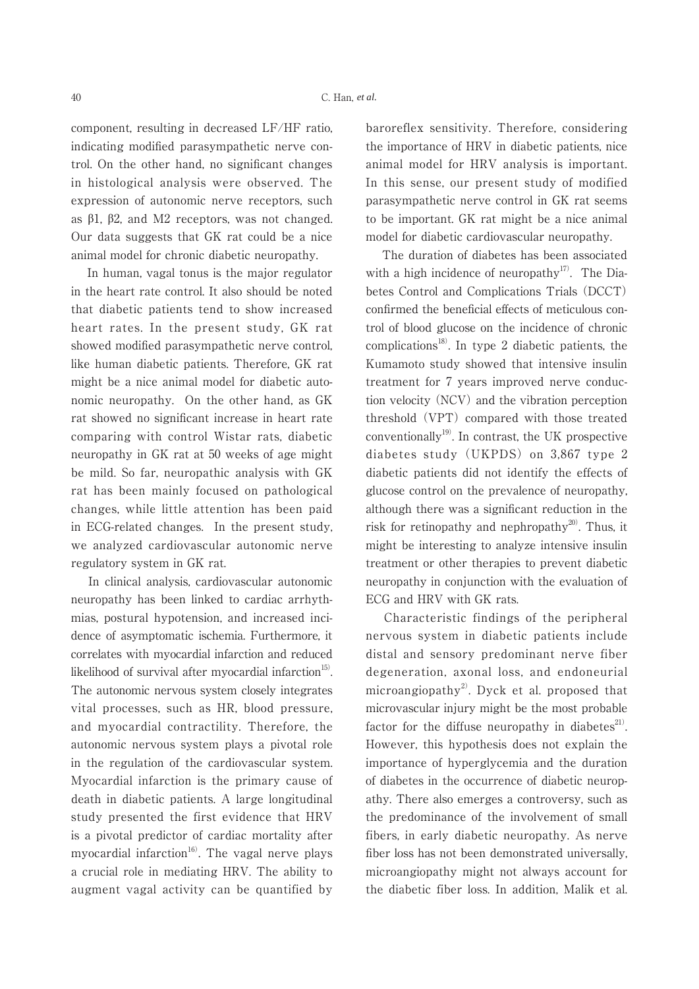component, resulting in decreased LF/HF ratio, indicating modified parasympathetic nerve control. On the other hand, no significant changes in histological analysis were observed. The expression of autonomic nerve receptors, such as  $\beta$ 1,  $\beta$ 2, and M2 receptors, was not changed. Our data suggests that GK rat could be a nice animal model for chronic diabetic neuropathy.

 In human, vagal tonus is the major regulator in the heart rate control. It also should be noted that diabetic patients tend to show increased heart rates. In the present study, GK rat showed modified parasympathetic nerve control, like human diabetic patients. Therefore, GK rat might be a nice animal model for diabetic autonomic neuropathy. On the other hand, as GK rat showed no significant increase in heart rate comparing with control Wistar rats, diabetic neuropathy in GK rat at 50 weeks of age might be mild. So far, neuropathic analysis with GK rat has been mainly focused on pathological changes, while little attention has been paid in ECG-related changes. In the present study, we analyzed cardiovascular autonomic nerve regulatory system in GK rat.

 In clinical analysis, cardiovascular autonomic neuropathy has been linked to cardiac arrhythmias, postural hypotension, and increased incidence of asymptomatic ischemia. Furthermore, it correlates with myocardial infarction and reduced likelihood of survival after myocardial infarction $15$ . The autonomic nervous system closely integrates vital processes, such as HR, blood pressure, and myocardial contractility. Therefore, the autonomic nervous system plays a pivotal role in the regulation of the cardiovascular system. Myocardial infarction is the primary cause of death in diabetic patients. A large longitudinal study presented the first evidence that HRV is a pivotal predictor of cardiac mortality after myocardial infarction $16$ <sup>16</sup>. The vagal nerve plays a crucial role in mediating HRV. The ability to augment vagal activity can be quantified by baroreflex sensitivity. Therefore, considering the importance of HRV in diabetic patients, nice animal model for HRV analysis is important. In this sense, our present study of modified parasympathetic nerve control in GK rat seems to be important. GK rat might be a nice animal model for diabetic cardiovascular neuropathy.

 The duration of diabetes has been associated with a high incidence of neuropathy<sup>17)</sup>. The Diabetes Control and Complications Trials (DCCT) confirmed the beneficial effects of meticulous control of blood glucose on the incidence of chronic complications<sup>18)</sup>. In type 2 diabetic patients, the Kumamoto study showed that intensive insulin treatment for 7 years improved nerve conduction velocity (NCV) and the vibration perception threshold (VPT) compared with those treated conventionally<sup>19)</sup>. In contrast, the UK prospective diabetes study (UKPDS) on 3,867 type 2 diabetic patients did not identify the effects of glucose control on the prevalence of neuropathy, although there was a significant reduction in the risk for retinopathy and nephropathy<sup>20)</sup>. Thus, it might be interesting to analyze intensive insulin treatment or other therapies to prevent diabetic neuropathy in conjunction with the evaluation of ECG and HRV with GK rats.

 Characteristic findings of the peripheral nervous system in diabetic patients include distal and sensory predominant nerve fiber degeneration, axonal loss, and endoneurial microangiopathy<sup>2)</sup>. Dyck et al. proposed that microvascular injury might be the most probable factor for the diffuse neuropathy in diabetes $^{21}$ . However, this hypothesis does not explain the importance of hyperglycemia and the duration of diabetes in the occurrence of diabetic neuropathy. There also emerges a controversy, such as the predominance of the involvement of small fibers, in early diabetic neuropathy. As nerve fiber loss has not been demonstrated universally, microangiopathy might not always account for the diabetic fiber loss. In addition, Malik et al.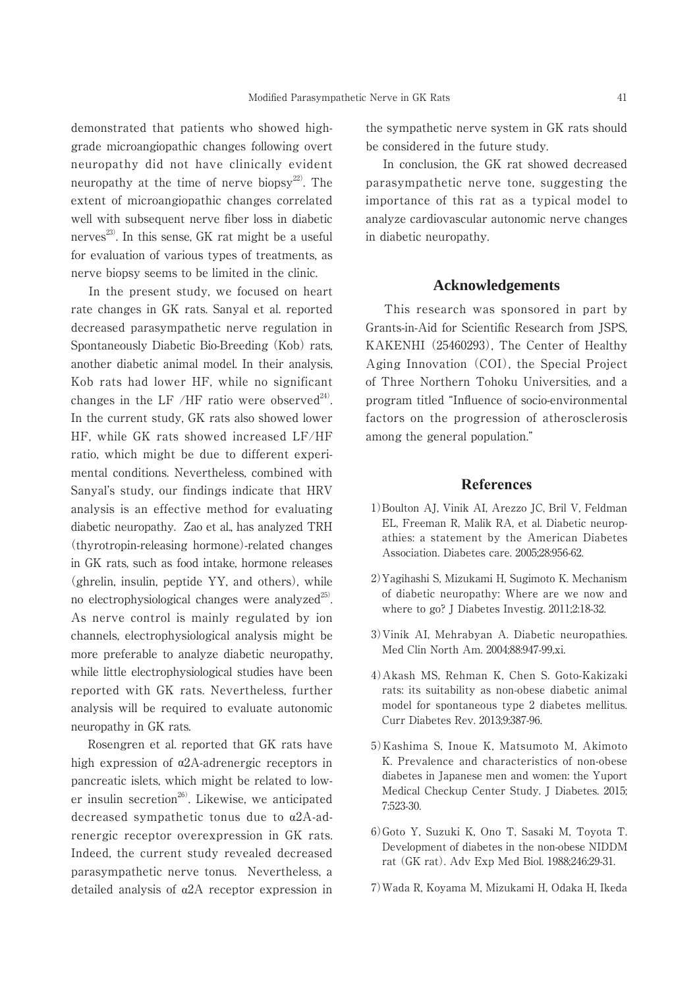demonstrated that patients who showed highgrade microangiopathic changes following overt neuropathy did not have clinically evident neuropathy at the time of nerve biopsy<sup>22)</sup>. The extent of microangiopathic changes correlated well with subsequent nerve fiber loss in diabetic nerves<sup>23)</sup>. In this sense, GK rat might be a useful for evaluation of various types of treatments, as nerve biopsy seems to be limited in the clinic.

 In the present study, we focused on heart rate changes in GK rats. Sanyal et al. reported decreased parasympathetic nerve regulation in Spontaneously Diabetic Bio-Breeding (Kob) rats, another diabetic animal model. In their analysis, Kob rats had lower HF, while no significant changes in the LF /HF ratio were observed $^{24}$ . In the current study, GK rats also showed lower HF, while GK rats showed increased LF/HF ratio, which might be due to different experimental conditions. Nevertheless, combined with Sanyal's study, our findings indicate that HRV analysis is an effective method for evaluating diabetic neuropathy. Zao et al., has analyzed TRH (thyrotropin-releasing hormone)-related changes in GK rats, such as food intake, hormone releases (ghrelin, insulin, peptide YY, and others), while no electrophysiological changes were analyzed $^{25}$ . As nerve control is mainly regulated by ion channels, electrophysiological analysis might be more preferable to analyze diabetic neuropathy, while little electrophysiological studies have been reported with GK rats. Nevertheless, further analysis will be required to evaluate autonomic neuropathy in GK rats.

 Rosengren et al. reported that GK rats have high expression of  $\alpha$ 2A-adrenergic receptors in pancreatic islets, which might be related to lower insulin secretion<sup>26)</sup>. Likewise, we anticipated decreased sympathetic tonus due to  $\alpha$ 2A-adrenergic receptor overexpression in GK rats. Indeed, the current study revealed decreased parasympathetic nerve tonus. Nevertheless, a detailed analysis of  $\alpha$ 2A receptor expression in the sympathetic nerve system in GK rats should be considered in the future study.

 In conclusion, the GK rat showed decreased parasympathetic nerve tone, suggesting the importance of this rat as a typical model to analyze cardiovascular autonomic nerve changes in diabetic neuropathy.

#### **Acknowledgements**

 This research was sponsored in part by Grants-in-Aid for Scientific Research from JSPS, KAKENHI (25460293), The Center of Healthy Aging Innovation (COI), the Special Project of Three Northern Tohoku Universities, and a program titled "Influence of socio-environmental factors on the progression of atherosclerosis among the general population."

#### **References**

- 1)Boulton AJ, Vinik AI, Arezzo JC, Bril V, Feldman EL, Freeman R, Malik RA, et al. Diabetic neuropathies: a statement by the American Diabetes Association. Diabetes care. 2005;28:956-62.
- 2)Yagihashi S, Mizukami H, Sugimoto K. Mechanism of diabetic neuropathy: Where are we now and where to go? J Diabetes Investig. 2011;2:18-32.
- 3)Vinik AI, Mehrabyan A. Diabetic neuropathies. Med Clin North Am. 2004;88:947-99,xi.
- 4)Akash MS, Rehman K, Chen S. Goto-Kakizaki rats: its suitability as non-obese diabetic animal model for spontaneous type 2 diabetes mellitus. Curr Diabetes Rev. 2013;9:387-96.
- 5)Kashima S, Inoue K, Matsumoto M, Akimoto K. Prevalence and characteristics of non-obese diabetes in Japanese men and women: the Yuport Medical Checkup Center Study. J Diabetes. 2015; 7:523-30.
- 6)Goto Y, Suzuki K, Ono T, Sasaki M, Toyota T. Development of diabetes in the non-obese NIDDM rat (GK rat). Adv Exp Med Biol. 1988;246:29-31.
- 7)Wada R, Koyama M, Mizukami H, Odaka H, Ikeda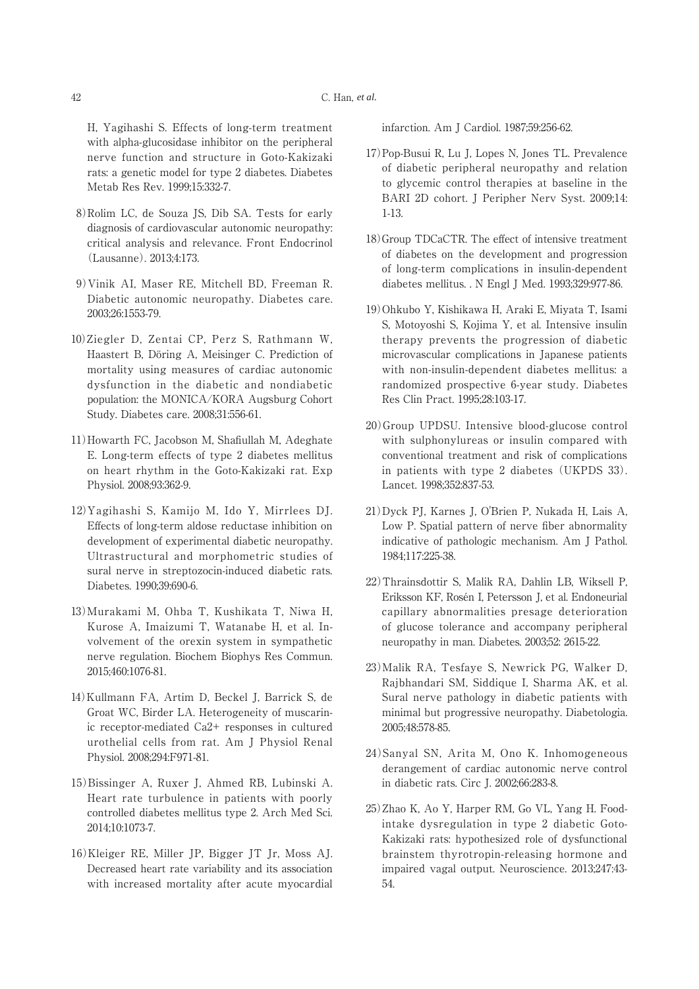H, Yagihashi S. Effects of long-term treatment with alpha-glucosidase inhibitor on the peripheral nerve function and structure in Goto-Kakizaki rats: a genetic model for type 2 diabetes. Diabetes Metab Res Rev. 1999;15:332-7.

- 8)Rolim LC, de Souza JS, Dib SA. Tests for early diagnosis of cardiovascular autonomic neuropathy: critical analysis and relevance. Front Endocrinol (Lausanne). 2013;4:173.
- 9)Vinik AI, Maser RE, Mitchell BD, Freeman R. Diabetic autonomic neuropathy. Diabetes care. 2003;26:1553-79.
- 10)Ziegler D, Zentai CP, Perz S, Rathmann W, Haastert B, Döring A, Meisinger C. Prediction of mortality using measures of cardiac autonomic dysfunction in the diabetic and nondiabetic population: the MONICA/KORA Augsburg Cohort Study. Diabetes care. 2008;31:556-61.
- 11)Howarth FC, Jacobson M, Shafiullah M, Adeghate E. Long-term effects of type 2 diabetes mellitus on heart rhythm in the Goto-Kakizaki rat. Exp Physiol. 2008;93:362-9.
- 12)Yagihashi S, Kamijo M, Ido Y, Mirrlees DJ. Effects of long-term aldose reductase inhibition on development of experimental diabetic neuropathy. Ultrastructural and morphometric studies of sural nerve in streptozocin-induced diabetic rats. Diabetes. 1990;39:690-6.
- 13)Murakami M, Ohba T, Kushikata T, Niwa H, Kurose A, Imaizumi T, Watanabe H, et al. Involvement of the orexin system in sympathetic nerve regulation. Biochem Biophys Res Commun. 2015;460:1076-81.
- 14)Kullmann FA, Artim D, Beckel J, Barrick S, de Groat WC, Birder LA. Heterogeneity of muscarinic receptor-mediated Ca2+ responses in cultured urothelial cells from rat. Am J Physiol Renal Physiol. 2008;294:F971-81.
- 15)Bissinger A, Ruxer J, Ahmed RB, Lubinski A. Heart rate turbulence in patients with poorly controlled diabetes mellitus type 2. Arch Med Sci. 2014;10:1073-7.
- 16)Kleiger RE, Miller JP, Bigger JT Jr, Moss AJ. Decreased heart rate variability and its association with increased mortality after acute myocardial

infarction. Am J Cardiol. 1987;59:256-62.

- 17)Pop-Busui R, Lu J, Lopes N, Jones TL. Prevalence of diabetic peripheral neuropathy and relation to glycemic control therapies at baseline in the BARI 2D cohort. J Peripher Nerv Syst. 2009;14: 1-13.
- 18)Group TDCaCTR. The effect of intensive treatment of diabetes on the development and progression of long-term complications in insulin-dependent diabetes mellitus. . N Engl J Med. 1993;329:977-86.
- 19)Ohkubo Y, Kishikawa H, Araki E, Miyata T, Isami S, Motoyoshi S, Kojima Y, et al. Intensive insulin therapy prevents the progression of diabetic microvascular complications in Japanese patients with non-insulin-dependent diabetes mellitus: a randomized prospective 6-year study. Diabetes Res Clin Pract. 1995;28:103-17.
- 20)Group UPDSU. Intensive blood-glucose control with sulphonylureas or insulin compared with conventional treatment and risk of complications in patients with type 2 diabetes (UKPDS 33). Lancet. 1998;352:837-53.
- 21)Dyck PJ, Karnes J, O'Brien P, Nukada H, Lais A, Low P. Spatial pattern of nerve fiber abnormality indicative of pathologic mechanism. Am J Pathol. 1984;117:225-38.
- 22)Thrainsdottir S, Malik RA, Dahlin LB, Wiksell P, Eriksson KF, Rosén I, Petersson J, et al. Endoneurial capillary abnormalities presage deterioration of glucose tolerance and accompany peripheral neuropathy in man. Diabetes. 2003;52: 2615-22.
- 23)Malik RA, Tesfaye S, Newrick PG, Walker D, Rajbhandari SM, Siddique I, Sharma AK, et al. Sural nerve pathology in diabetic patients with minimal but progressive neuropathy. Diabetologia. 2005;48:578-85.
- 24)Sanyal SN, Arita M, Ono K. Inhomogeneous derangement of cardiac autonomic nerve control in diabetic rats. Circ J. 2002;66:283-8.
- 25)Zhao K, Ao Y, Harper RM, Go VL, Yang H. Foodintake dysregulation in type 2 diabetic Goto-Kakizaki rats: hypothesized role of dysfunctional brainstem thyrotropin-releasing hormone and impaired vagal output. Neuroscience. 2013;247:43- 54.